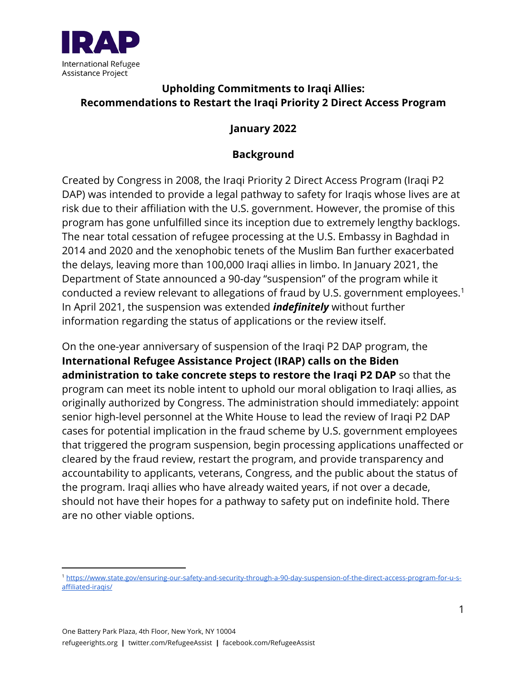

# **Upholding Commitments to Iraqi Allies: Recommendations to Restart the Iraqi Priority 2 Direct Access Program**

#### **January 2022**

## **Background**

Created by Congress in 2008, the Iraqi Priority 2 Direct Access Program (Iraqi P2 DAP) was intended to provide a legal pathway to safety for Iraqis whose lives are at risk due to their affiliation with the U.S. government. However, the promise of this program has gone unfulfilled since its inception due to extremely lengthy backlogs. The near total cessation of refugee processing at the U.S. Embassy in Baghdad in 2014 and 2020 and the xenophobic tenets of the Muslim Ban further exacerbated the delays, leaving more than 100,000 Iraqi allies in limbo. In January 2021, the Department of State announced a 90-day "suspension" of the program while it conducted a review relevant to allegations of fraud by U.S. government employees.<sup>1</sup> In April 2021, the suspension was extended *indefinitely* without further information regarding the status of applications or the review itself.

On the one-year anniversary of suspension of the Iraqi P2 DAP program, the **International Refugee Assistance Project (IRAP) calls on the Biden administration to take concrete steps to restore the Iraqi P2 DAP** so that the program can meet its noble intent to uphold our moral obligation to Iraqi allies, as originally authorized by Congress. The administration should immediately: appoint senior high-level personnel at the White House to lead the review of Iraqi P2 DAP cases for potential implication in the fraud scheme by U.S. government employees that triggered the program suspension, begin processing applications unaffected or cleared by the fraud review, restart the program, and provide transparency and accountability to applicants, veterans, Congress, and the public about the status of the program. Iraqi allies who have already waited years, if not over a decade, should not have their hopes for a pathway to safety put on indefinite hold. There are no other viable options.

<sup>1</sup> https://www.state.gov/ensuring-our-safety-and-security-through-a-90-day-suspension-of-the-direct-access-program-for-u-saffiliated-iraqis/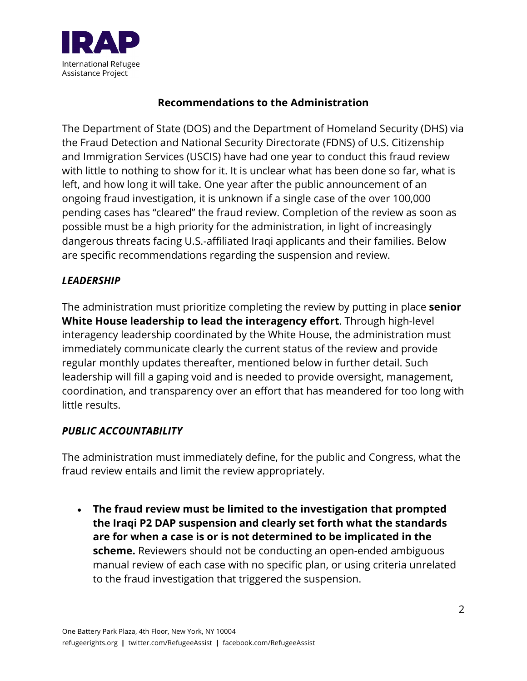

## **Recommendations to the Administration**

The Department of State (DOS) and the Department of Homeland Security (DHS) via the Fraud Detection and National Security Directorate (FDNS) of U.S. Citizenship and Immigration Services (USCIS) have had one year to conduct this fraud review with little to nothing to show for it. It is unclear what has been done so far, what is left, and how long it will take. One year after the public announcement of an ongoing fraud investigation, it is unknown if a single case of the over 100,000 pending cases has "cleared" the fraud review. Completion of the review as soon as possible must be a high priority for the administration, in light of increasingly dangerous threats facing U.S.-affiliated Iraqi applicants and their families. Below are specific recommendations regarding the suspension and review.

## *LEADERSHIP*

The administration must prioritize completing the review by putting in place **senior White House leadership to lead the interagency effort**. Through high-level interagency leadership coordinated by the White House, the administration must immediately communicate clearly the current status of the review and provide regular monthly updates thereafter, mentioned below in further detail. Such leadership will fill a gaping void and is needed to provide oversight, management, coordination, and transparency over an effort that has meandered for too long with little results.

## *PUBLIC ACCOUNTABILITY*

The administration must immediately define, for the public and Congress, what the fraud review entails and limit the review appropriately.

• **The fraud review must be limited to the investigation that prompted the Iraqi P2 DAP suspension and clearly set forth what the standards are for when a case is or is not determined to be implicated in the scheme.** Reviewers should not be conducting an open-ended ambiguous manual review of each case with no specific plan, or using criteria unrelated to the fraud investigation that triggered the suspension.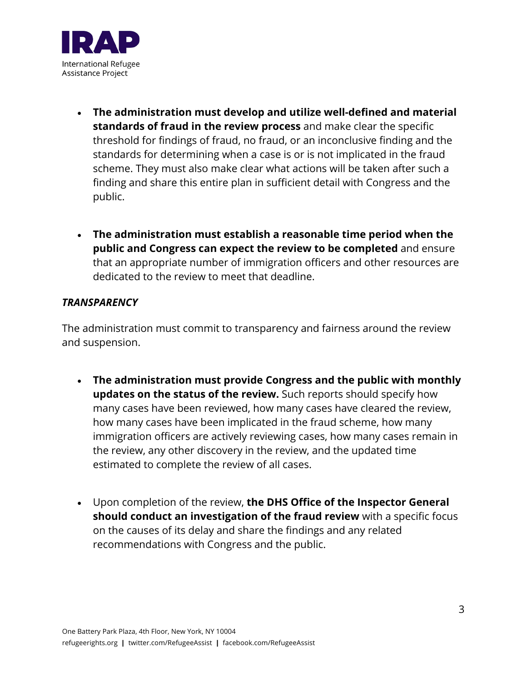

- **The administration must develop and utilize well-defined and material standards of fraud in the review process** and make clear the specific threshold for findings of fraud, no fraud, or an inconclusive finding and the standards for determining when a case is or is not implicated in the fraud scheme. They must also make clear what actions will be taken after such a finding and share this entire plan in sufficient detail with Congress and the public.
- **The administration must establish a reasonable time period when the public and Congress can expect the review to be completed** and ensure that an appropriate number of immigration officers and other resources are dedicated to the review to meet that deadline.

#### *TRANSPARENCY*

The administration must commit to transparency and fairness around the review and suspension.

- **The administration must provide Congress and the public with monthly updates on the status of the review.** Such reports should specify how many cases have been reviewed, how many cases have cleared the review, how many cases have been implicated in the fraud scheme, how many immigration officers are actively reviewing cases, how many cases remain in the review, any other discovery in the review, and the updated time estimated to complete the review of all cases.
- Upon completion of the review, **the DHS Office of the Inspector General should conduct an investigation of the fraud review** with a specific focus on the causes of its delay and share the findings and any related recommendations with Congress and the public.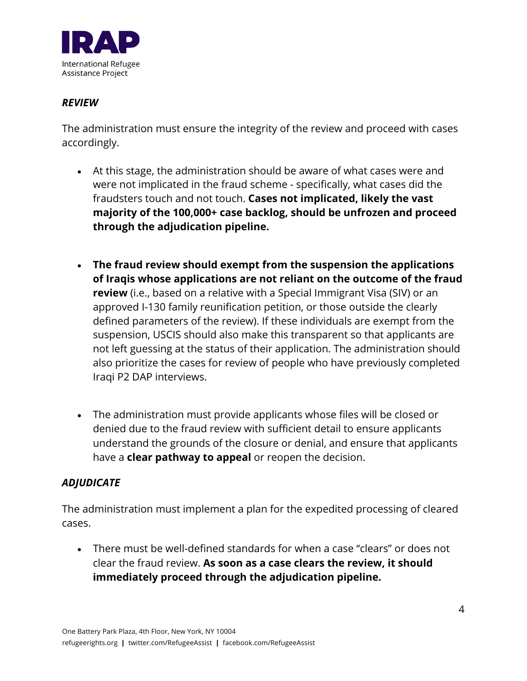

## *REVIEW*

The administration must ensure the integrity of the review and proceed with cases accordingly.

- At this stage, the administration should be aware of what cases were and were not implicated in the fraud scheme - specifically, what cases did the fraudsters touch and not touch. **Cases not implicated, likely the vast majority of the 100,000+ case backlog, should be unfrozen and proceed through the adjudication pipeline.**
- **The fraud review should exempt from the suspension the applications of Iraqis whose applications are not reliant on the outcome of the fraud review** (i.e., based on a relative with a Special Immigrant Visa (SIV) or an approved I-130 family reunification petition, or those outside the clearly defined parameters of the review). If these individuals are exempt from the suspension, USCIS should also make this transparent so that applicants are not left guessing at the status of their application. The administration should also prioritize the cases for review of people who have previously completed Iraqi P2 DAP interviews.
- The administration must provide applicants whose files will be closed or denied due to the fraud review with sufficient detail to ensure applicants understand the grounds of the closure or denial, and ensure that applicants have a **clear pathway to appeal** or reopen the decision.

## *ADJUDICATE*

The administration must implement a plan for the expedited processing of cleared cases.

• There must be well-defined standards for when a case "clears" or does not clear the fraud review. **As soon as a case clears the review, it should immediately proceed through the adjudication pipeline.**